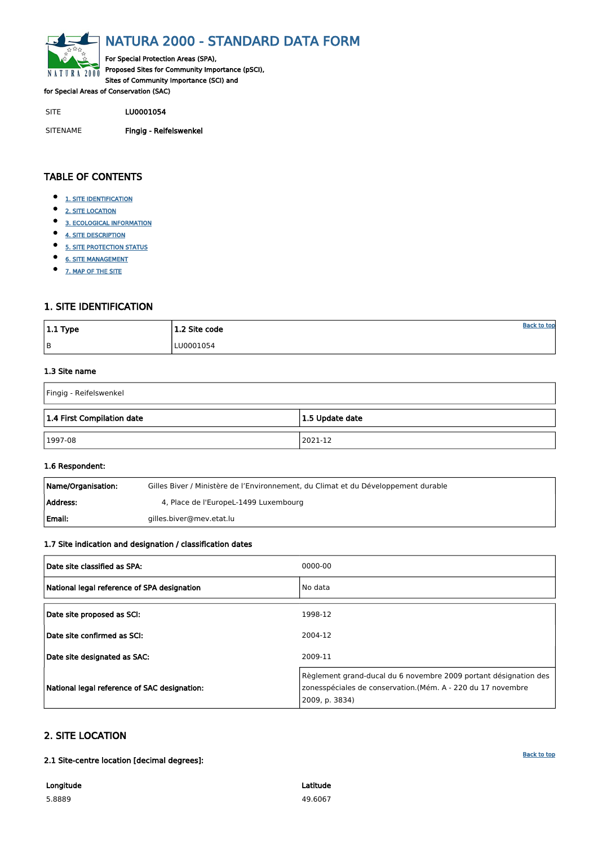<span id="page-0-0"></span>

# NATURA 2000 - STANDARD DATA FORM

For Special Protection Areas (SPA), Proposed Sites for Community Importance (pSCI), Sites of Community Importance (SCI) and

for Special Areas of Conservation (SAC)

SITE LU0001054

SITENAME Fingig - Reifelswenkel

| $ 1.1$ Type | 1.2 Site code | <b>Back to top</b> |
|-------------|---------------|--------------------|
| B           | LU0001054     |                    |

# TABLE OF CONTENTS

- $\bullet$ [1. SITE IDENTIFICATION](#page-0-1)
- $\bullet$ [2. SITE LOCATION](#page-0-2)
- $\bullet$ [3. ECOLOGICAL INFORMATION](#page-1-0)
- $\bullet$ [4. SITE DESCRIPTION](#page-2-0)
- $\bullet$ [5. SITE PROTECTION STATUS](#page-3-0)
- $\bullet$ [6. SITE MANAGEMENT](#page-3-1)
- [7. MAP OF THE SITE](#page-4-0)  $\bullet$

| Name/Organisation: | Gilles Biver / Ministère de l'Environnement, du Climat et du Développement durable |
|--------------------|------------------------------------------------------------------------------------|
| Address:           | 4, Place de l'EuropeL-1499 Luxembourg                                              |
| Email:             | gilles.biver@mev.etat.lu                                                           |

# <span id="page-0-1"></span>1. SITE IDENTIFICATION

#### 1.3 Site name

| Fingig - Reifelswenkel     |                    |  |  |  |  |  |
|----------------------------|--------------------|--|--|--|--|--|
| 1.4 First Compilation date | $ 1.5$ Update date |  |  |  |  |  |
| 1997-08                    | 2021-12            |  |  |  |  |  |

#### 1.6 Respondent:

#### 1.7 Site indication and designation / classification dates

| Date site classified as SPA:                | 0000-00 |
|---------------------------------------------|---------|
| National legal reference of SPA designation | No data |
| Date site proposed as SCI:                  | 1998-12 |
| Date site confirmed as SCI:                 | 2004-12 |

| Date site designated as SAC:                 | 2009-11                                                                                                                                           |
|----------------------------------------------|---------------------------------------------------------------------------------------------------------------------------------------------------|
| National legal reference of SAC designation: | Règlement grand-ducal du 6 novembre 2009 portant désignation des<br>zonesspéciales de conservation.(Mém. A - 220 du 17 novembre<br>2009, p. 3834) |

# <span id="page-0-2"></span>2. SITE LOCATION

2.1 Site-centre location [decimal degrees]:

Longitude

5.8889

Latitude 49.6067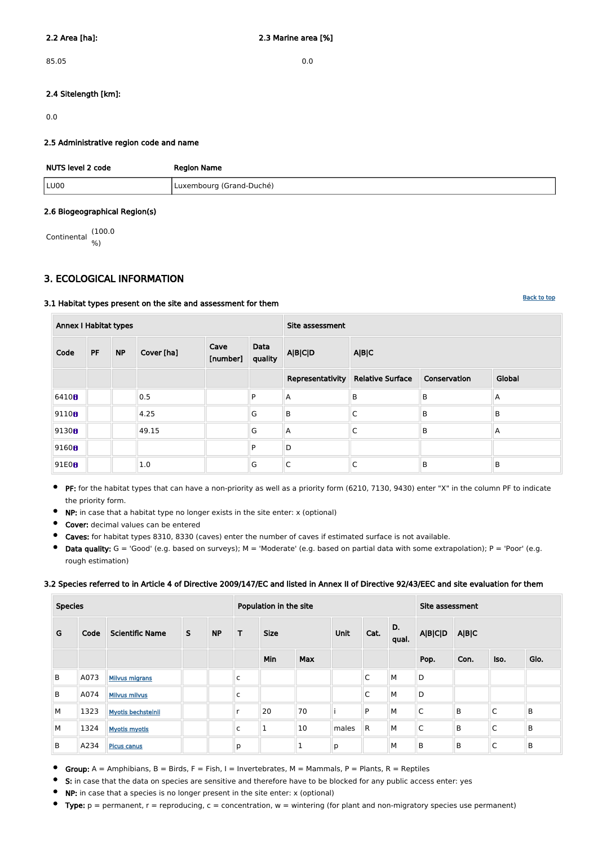85.05 0.0

#### 2.4 Sitelength [km]:

0.0

#### 2.5 Administrative region code and name

| NUTS level 2 code | <b>Region Name</b>       |
|-------------------|--------------------------|
| LU00              | Luxembourg (Grand-Duché) |

#### 2.6 Biogeographical Region(s)

Continental (100.0 %)

### <span id="page-1-0"></span>3. ECOLOGICAL INFORMATION

#### 3.1 Habitat types present on the site and assessment for them

| <b>Annex I Habitat types</b> |    |           |            | Site assessment  |                 |                  |                         |              |        |
|------------------------------|----|-----------|------------|------------------|-----------------|------------------|-------------------------|--------------|--------|
| Code                         | PF | <b>NP</b> | Cover [ha] | Cave<br>[number] | Data<br>quality | <b>A B C D</b>   | A B C                   |              |        |
|                              |    |           |            |                  |                 | Representativity | <b>Relative Surface</b> | Conservation | Global |
| 6410 <sub>0</sub>            |    |           | 0.5        |                  | P               | IА               | $\sf B$                 | B            | A      |
| 91100                        |    |           | 4.25       |                  | G               | $\sf B$          | $\mathsf C$             | B            | B      |
| 9130 <sub>0</sub>            |    |           | 49.15      |                  | G               | $\overline{A}$   | C                       | $\mathsf B$  | A      |
| 9160 <sub>0</sub>            |    |           |            |                  | P               | $\mathsf D$      |                         |              |        |
| 91E0B                        |    |           | 1.0        |                  | G               | C                | С                       | B            | B      |

- PF: for the habitat types that can have a non-priority as well as a priority form (6210, 7130, 9430) enter "X" in the column PF to indicate  $\bullet$ the priority form.
- NP: in case that a habitat type no longer exists in the site enter: x (optional)  $\bullet$
- Cover: decimal values can be entered  $\bullet$
- $\bullet$ Caves: for habitat types 8310, 8330 (caves) enter the number of caves if estimated surface is not available.
- $\bullet$ Data quality:  $G = 'Good'$  (e.g. based on surveys);  $M = 'Modern'$  (e.g. based on partial data with some extrapolation);  $P = 'Poor'$  (e.g. rough estimation)

#### 3.2 Species referred to in Article 4 of Directive 2009/147/EC and listed in Annex II of Directive 92/43/EEC and site evaluation for them

| <b>Species</b> |      |                           |              | Population in the site |   |             |              |       | Site assessment |             |                |       |              |              |
|----------------|------|---------------------------|--------------|------------------------|---|-------------|--------------|-------|-----------------|-------------|----------------|-------|--------------|--------------|
| G              | Code | <b>Scientific Name</b>    | $\mathsf{S}$ | <b>NP</b>              | T | <b>Size</b> |              | Unit  | Cat.            | D.<br>qual. | <b>A B C D</b> | A B C |              |              |
|                |      |                           |              |                        |   | Min         | <b>Max</b>   |       |                 |             | Pop.           | Con.  | Iso.         | Glo.         |
| B              | A073 | <b>Milvus migrans</b>     |              |                        | C |             |              |       | C               | M           | D              |       |              |              |
| B              | A074 | <b>Milvus milvus</b>      |              |                        | C |             |              |       | C               | M           | D              |       |              |              |
| M              | 1323 | <b>Myotis bechsteinii</b> |              |                        |   | 20          | 70           |       | P               | M           | $\mathsf{C}$   | B     | $\mathsf{C}$ | $\mathsf{B}$ |
| M              | 1324 | <b>Myotis myotis</b>      |              |                        | C | ш           | 10           | males | R               | М           | $\mathsf C$    | B     | C            | $\mathsf B$  |
| B              | A234 | Picus canus               |              |                        | р |             | $\mathbf{1}$ | р     |                 | M           | B              | B     | C            | $\mathsf B$  |

- Group:  $A =$  Amphibians,  $B =$  Birds,  $F =$  Fish, I = Invertebrates, M = Mammals, P = Plants, R = Reptiles
- S: in case that the data on species are sensitive and therefore have to be blocked for any public access enter: yes  $\bullet$
- $\bullet$ NP: in case that a species is no longer present in the site enter: x (optional)
- Type:  $p =$  permanent,  $r =$  reproducing,  $c =$  concentration,  $w =$  wintering (for plant and non-migratory species use permanent)  $\bullet$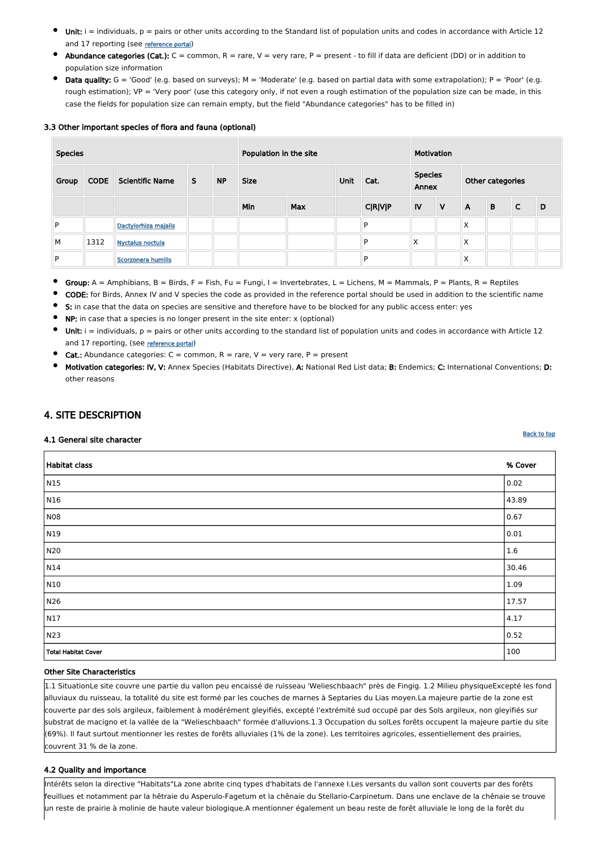- Unit:  $i =$  individuals,  $p =$  pairs or other units according to the Standard list of population units and codes in accordance with Article 12 and 17 reporting (see [reference portal](http://bd.eionet.europa.eu/activities/Natura_2000/reference_portal))
- Abundance categories (Cat.):  $C =$  common,  $R =$  rare,  $V =$  very rare,  $P =$  present to fill if data are deficient (DD) or in addition to population size information
- Data quality:  $G = 'Good'$  (e.g. based on surveys); M = 'Moderate' (e.g. based on partial data with some extrapolation); P = 'Poor' (e.g. rough estimation); VP = 'Very poor' (use this category only, if not even a rough estimation of the population size can be made, in this case the fields for population size can remain empty, but the field "Abundance categories" has to be filled in)

#### 3.3 Other important species of flora and fauna (optional)

| <b>Species</b> |             |                         |   | Population in the site |             |            |  | Motivation     |      |              |                         |   |                  |   |  |  |
|----------------|-------------|-------------------------|---|------------------------|-------------|------------|--|----------------|------|--------------|-------------------------|---|------------------|---|--|--|
| Group          | <b>CODE</b> | <b>Scientific Name</b>  | S | <b>NP</b>              | <b>Size</b> |            |  |                | Unit | Cat.         | <b>Species</b><br>Annex |   | Other categories |   |  |  |
|                |             |                         |   |                        | Min         | <b>Max</b> |  | <b>C R V P</b> | IV   | $\mathsf{V}$ | $\mathsf{A}$            | B | $\mathsf{C}$     | D |  |  |
| P              |             | Dactylorhiza majalis    |   |                        |             |            |  | P              |      |              | X                       |   |                  |   |  |  |
| M              | 1312        | <b>Nyctalus noctula</b> |   |                        |             |            |  | P              | X    |              | X                       |   |                  |   |  |  |
| P              |             | Scorzonera humilis      |   |                        |             |            |  | P              |      |              | Χ                       |   |                  |   |  |  |

- Group:  $A =$  Amphibians, B = Birds, F = Fish, Fu = Fungi, I = Invertebrates, L = Lichens, M = Mammals, P = Plants, R = Reptiles
- CODE: for Birds, Annex IV and V species the code as provided in the reference portal should be used in addition to the scientific name
- $\bullet$ S: in case that the data on species are sensitive and therefore have to be blocked for any public access enter: yes
- NP: in case that a species is no longer present in the site enter: x (optional)
- Unit:  $i =$  individuals,  $p =$  pairs or other units according to the standard list of population units and codes in accordance with Article 12 and 17 reporting, (see [reference portal](http://bd.eionet.europa.eu/activities/Natura_2000/reference_portal))
- $\bullet$ **Cat.:** Abundance categories:  $C =$  common,  $R =$  rare,  $V =$  very rare,  $P =$  present
- Motivation categories: IV, V: Annex Species (Habitats Directive), A: National Red List data; B: Endemics; C: International Conventions; D: other reasons

# <span id="page-2-0"></span>4. SITE DESCRIPTION

#### 4.1 General site character

| Habitat class | % Cover        |
|---------------|----------------|
| $\sqrt{N15}$  | $ 0.02\rangle$ |
| N16           | 43.89          |
| NO8           | 0.67           |
| N19           | 0.01           |
| N20           | 1.6            |
| $\vert$ N14   | 30.46          |
| N10           | $ 1.09\rangle$ |
| N26           | 17.57          |
| N17           | 4.17           |
| N23           | 0.52           |

#### Other Site Characteristics

1.1 SituationLe site couvre une partie du vallon peu encaissé de ruisseau 'Welieschbaach" près de Fingig. 1.2 Milieu physiqueExcepté les fond alluviaux du ruisseau, la totalité du site est formé par les couches de marnes à Septaries du Lias moyen.La majeure partie de la zone est couverte par des sols argileux, faiblement à modérément gleyifiés, excepté l'extrémité sud occupé par des Sols argileux, non gleyifiés sur substrat de macigno et la vallée de la "Welieschbaach" formée d'alluvions.1.3 Occupation du solLes forêts occupent la majeure partie du site (69%). Il faut surtout mentionner les restes de forêts alluviales (1% de la zone). Les territoires agricoles, essentiellement des prairies, couvrent 31 % de la zone.

#### 4.2 Quality and importance

Intérêts selon la directive "Habitats"La zone abrite cinq types d'habitats de l'annexe I.Les versants du vallon sont couverts par des forêts feuillues et notamment par la hêtraie du Asperulo-Fagetum et la chênaie du Stellario-Carpinetum. Dans une enclave de la chênaie se trouve un reste de prairie à molinie de haute valeur biologique.A mentionner également un beau reste de forêt alluviale le long de la forêt du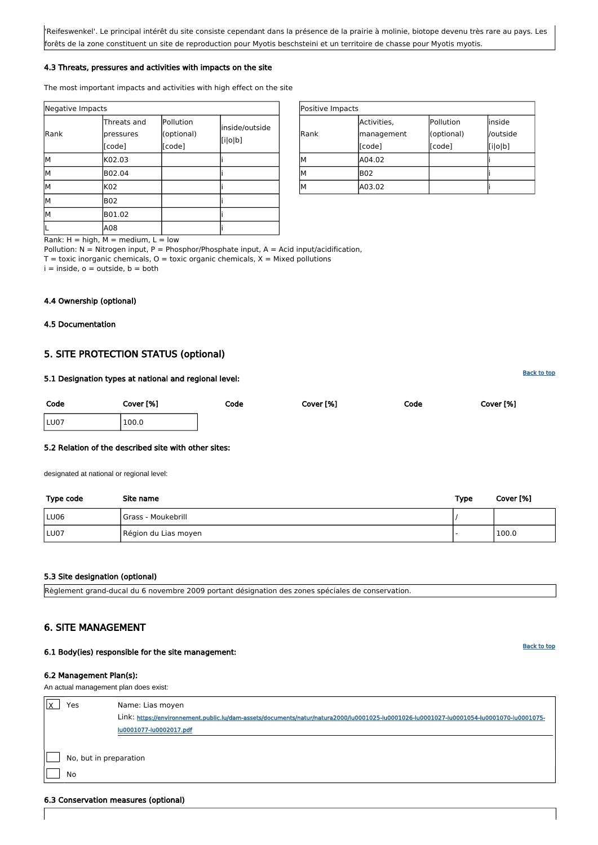| Positive Impacts |             |            |          |  |  |  |
|------------------|-------------|------------|----------|--|--|--|
|                  | Activities, | Pollution  | linside  |  |  |  |
| <b>Rank</b>      | management  | (optional) | /outside |  |  |  |
|                  | [code]      | [code]     | [i o b]  |  |  |  |
| м                | A04.02      |            |          |  |  |  |
| м                | <b>B02</b>  |            |          |  |  |  |
| М                | A03.02      |            |          |  |  |  |

Rank:  $H = high$ ,  $M = medium$ ,  $L = low$ 

Pollution:  $N =$  Nitrogen input, P = Phosphor/Phosphate input, A = Acid input/acidification,

 $T =$  toxic inorganic chemicals,  $O =$  toxic organic chemicals,  $X =$  Mixed pollutions

 $i =$  inside,  $o =$  outside,  $b =$  both

| Negative Impacts      |                                              |                                   |                           |  |  |  |  |
|-----------------------|----------------------------------------------|-----------------------------------|---------------------------|--|--|--|--|
| Rank                  | Threats and<br>pressures<br>[code]           | Pollution<br>(optional)<br>[code] | inside/outside<br>[i o b] |  |  |  |  |
| lМ                    | K02.03                                       |                                   |                           |  |  |  |  |
| lм                    | B02.04                                       |                                   |                           |  |  |  |  |
| lм                    | K02                                          |                                   |                           |  |  |  |  |
| M                     | <b>B02</b>                                   |                                   |                           |  |  |  |  |
| lМ                    | B01.02                                       |                                   |                           |  |  |  |  |
| Desete the filest Mar | A08<br>الله المتحدد والمناسب المتحدد المناسب | $1 - 1 - 1$                       |                           |  |  |  |  |

'Reifeswenkel'. Le principal intérêt du site consiste cependant dans la présence de la prairie à molinie, biotope devenu très rare au pays. Les forêts de la zone constituent un site de reproduction pour Myotis beschsteini et un territoire de chasse pour Myotis myotis.

#### 4.3 Threats, pressures and activities with impacts on the site

The most important impacts and activities with high effect on the site

| Yes                    | Name: Lias moyen                                                                                                                         |  |  |  |  |
|------------------------|------------------------------------------------------------------------------------------------------------------------------------------|--|--|--|--|
|                        | Link: https://environnement.public.lu/dam-assets/documents/natur/natura2000/lu0001025-lu0001026-lu0001027-lu0001054-lu0001070-lu0001075- |  |  |  |  |
|                        | lu0001077-lu0002017.pdf                                                                                                                  |  |  |  |  |
|                        |                                                                                                                                          |  |  |  |  |
| No, but in preparation |                                                                                                                                          |  |  |  |  |
| No                     |                                                                                                                                          |  |  |  |  |

#### 4.4 Ownership (optional)

<span id="page-3-0"></span>4.5 Documentation

# 5. SITE PROTECTION STATUS (optional)

| 5.1 Designation types at national and regional level: |  |  |  |
|-------------------------------------------------------|--|--|--|
|                                                       |  |  |  |

| Code | Cover [%] | Code | Cover [%] | Code | Cover [%] |
|------|-----------|------|-----------|------|-----------|
| LU07 | 100.0     |      |           |      |           |

#### 5.2 Relation of the described site with other sites:

designated at national or regional level:

| Type code | Site name            | <b>Type</b> | Cover [%] |
|-----------|----------------------|-------------|-----------|
| LU06      | Grass - Moukebrill   |             |           |
| LU07      | Région du Lias moyen |             | 100.0     |

#### 5.3 Site designation (optional)

Règlement grand-ducal du 6 novembre 2009 portant désignation des zones spéciales de conservation.

# <span id="page-3-1"></span>6. SITE MANAGEMENT

#### 6.1 Body(ies) responsible for the site management:

#### 6.2 Management Plan(s):

An actual management plan does exist:

#### 6.3 Conservation measures (optional)